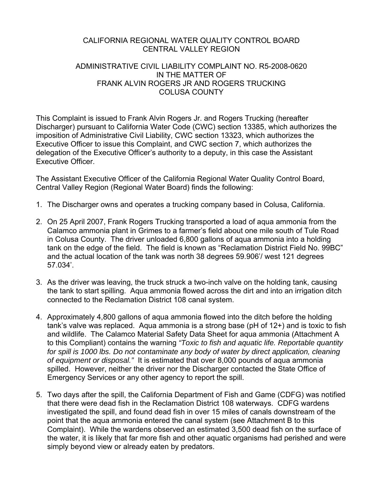### CALIFORNIA REGIONAL WATER QUALITY CONTROL BOARD CENTRAL VALLEY REGION

## ADMINISTRATIVE CIVIL LIABILITY COMPLAINT NO. R5-2008-0620 IN THE MATTER OF FRANK ALVIN ROGERS JR AND ROGERS TRUCKING COLUSA COUNTY

This Complaint is issued to Frank Alvin Rogers Jr. and Rogers Trucking (hereafter Discharger) pursuant to California Water Code (CWC) section 13385, which authorizes the imposition of Administrative Civil Liability, CWC section 13323, which authorizes the Executive Officer to issue this Complaint, and CWC section 7, which authorizes the delegation of the Executive Officer's authority to a deputy, in this case the Assistant Executive Officer.

The Assistant Executive Officer of the California Regional Water Quality Control Board, Central Valley Region (Regional Water Board) finds the following:

- 1. The Discharger owns and operates a trucking company based in Colusa, California.
- 2. On 25 April 2007, Frank Rogers Trucking transported a load of aqua ammonia from the Calamco ammonia plant in Grimes to a farmer's field about one mile south of Tule Road in Colusa County. The driver unloaded 6,800 gallons of aqua ammonia into a holding tank on the edge of the field. The field is known as "Reclamation District Field No. 99BC" and the actual location of the tank was north 38 degrees 59.906'/ west 121 degrees 57.034'.
- 3. As the driver was leaving, the truck struck a two-inch valve on the holding tank, causing the tank to start spilling. Aqua ammonia flowed across the dirt and into an irrigation ditch connected to the Reclamation District 108 canal system.
- 4. Approximately 4,800 gallons of aqua ammonia flowed into the ditch before the holding tank's valve was replaced. Aqua ammonia is a strong base (pH of 12+) and is toxic to fish and wildlife. The Calamco Material Safety Data Sheet for aqua ammonia (Attachment A to this Compliant) contains the warning *"Toxic to fish and aquatic life. Reportable quantity for spill is 1000 lbs. Do not contaminate any body of water by direct application, cleaning of equipment or disposal."* It is estimated that over 8,000 pounds of aqua ammonia spilled. However, neither the driver nor the Discharger contacted the State Office of Emergency Services or any other agency to report the spill.
- 5. Two days after the spill, the California Department of Fish and Game (CDFG) was notified that there were dead fish in the Reclamation District 108 waterways. CDFG wardens investigated the spill, and found dead fish in over 15 miles of canals downstream of the point that the aqua ammonia entered the canal system (see Attachment B to this Complaint). While the wardens observed an estimated 3,500 dead fish on the surface of the water, it is likely that far more fish and other aquatic organisms had perished and were simply beyond view or already eaten by predators.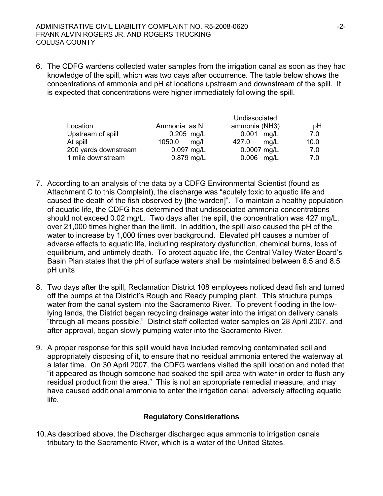6. The CDFG wardens collected water samples from the irrigation canal as soon as they had knowledge of the spill, which was two days after occurrence. The table below shows the concentrations of ammonia and pH at locations upstream and downstream of the spill. It is expected that concentrations were higher immediately following the spill.

|                      |                | Undissociated |      |
|----------------------|----------------|---------------|------|
| Location             | Ammonia as N   | ammonia (NH3) | рH   |
| Upstream of spill    | $0.205$ mg/L   | mg/L<br>0.001 | 7.0  |
| At spill             | 1050.0<br>mq/l | mg/L<br>427.0 | 10.0 |
| 200 yards downstream | $0.097$ mg/L   | $0.0007$ mg/L | 7.0  |
| 1 mile downstream    | 0.879 mg/L     | $0.006$ mg/L  | 7.0  |

- 7. According to an analysis of the data by a CDFG Environmental Scientist (found as Attachment C to this Complaint), the discharge was "acutely toxic to aquatic life and caused the death of the fish observed by [the warden]". To maintain a healthy population of aquatic life, the CDFG has determined that undissociated ammonia concentrations should not exceed 0.02 mg/L. Two days after the spill, the concentration was 427 mg/L, over 21,000 times higher than the limit. In addition, the spill also caused the pH of the water to increase by 1,000 times over background. Elevated pH causes a number of adverse effects to aquatic life, including respiratory dysfunction, chemical burns, loss of equilibrium, and untimely death. To protect aquatic life, the Central Valley Water Board's Basin Plan states that the pH of surface waters shall be maintained between 6.5 and 8.5 pH units
- 8. Two days after the spill, Reclamation District 108 employees noticed dead fish and turned off the pumps at the District's Rough and Ready pumping plant. This structure pumps water from the canal system into the Sacramento River. To prevent flooding in the lowlying lands, the District began recycling drainage water into the irrigation delivery canals "through all means possible." District staff collected water samples on 28 April 2007, and after approval, began slowly pumping water into the Sacramento River.
- 9. A proper response for this spill would have included removing contaminated soil and appropriately disposing of it, to ensure that no residual ammonia entered the waterway at a later time. On 30 April 2007, the CDFG wardens visited the spill location and noted that "it appeared as though someone had soaked the spill area with water in order to flush any residual product from the area." This is not an appropriate remedial measure, and may have caused additional ammonia to enter the irrigation canal, adversely affecting aquatic life.

# **Regulatory Considerations**

10. As described above, the Discharger discharged aqua ammonia to irrigation canals tributary to the Sacramento River, which is a water of the United States.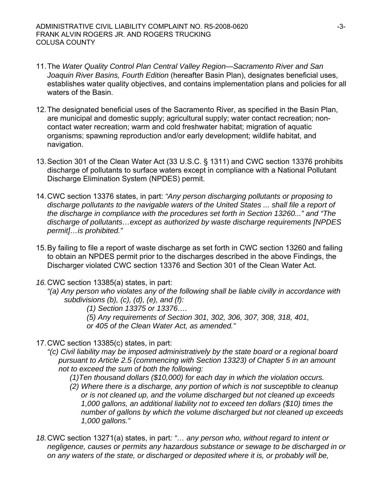- 11. The *Water Quality Control Plan Central Valley Region—Sacramento River and San Joaquin River Basins, Fourth Edition* (hereafter Basin Plan), designates beneficial uses, establishes water quality objectives, and contains implementation plans and policies for all waters of the Basin.
- 12. The designated beneficial uses of the Sacramento River, as specified in the Basin Plan, are municipal and domestic supply; agricultural supply; water contact recreation; noncontact water recreation; warm and cold freshwater habitat; migration of aquatic organisms; spawning reproduction and/or early development; wildlife habitat, and navigation.
- 13. Section 301 of the Clean Water Act (33 U.S.C. § 1311) and CWC section 13376 prohibits discharge of pollutants to surface waters except in compliance with a National Pollutant Discharge Elimination System (NPDES) permit.
- 14. CWC section 13376 states, in part: *"Any person discharging pollutants or proposing to discharge pollutants to the navigable waters of the United States ... shall file a report of the discharge in compliance with the procedures set forth in Section 13260..." and "The discharge of pollutants…except as authorized by waste discharge requirements [NPDES permit]…is prohibited."*
- 15. By failing to file a report of waste discharge as set forth in CWC section 13260 and failing to obtain an NPDES permit prior to the discharges described in the above Findings, the Discharger violated CWC section 13376 and Section 301 of the Clean Water Act.
- *16.*CWC section 13385(a) states, in part:
	- *"(a) Any person who violates any of the following shall be liable civilly in accordance with subdivisions (b), (c), (d), (e), and (f):*

*(1) Section 13375 or 13376….* 

- *(5) Any requirements of Section 301, 302, 306, 307, 308, 318, 401,*
- *or 405 of the Clean Water Act, as amended."*
- 17. CWC section 13385(c) states, in part:
	- *"(c) Civil liability may be imposed administratively by the state board or a regional board pursuant to Article 2.5 (commencing with Section 13323) of Chapter 5 in an amount not to exceed the sum of both the following:* 
		- *(1)Ten thousand dollars (\$10,000) for each day in which the violation occurs.*
		- *(2) Where there is a discharge, any portion of which is not susceptible to cleanup or is not cleaned up, and the volume discharged but not cleaned up exceeds 1,000 gallons, an additional liability not to exceed ten dollars (\$10) times the number of gallons by which the volume discharged but not cleaned up exceeds 1,000 gallons."*
- *18.*CWC section 13271(a) states, in part*: "… any person who, without regard to intent or negligence, causes or permits any hazardous substance or sewage to be discharged in or on any waters of the state, or discharged or deposited where it is, or probably will be,*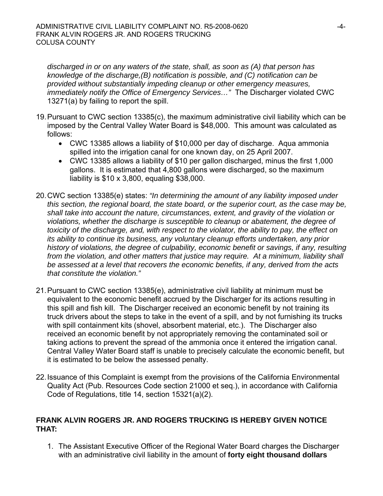*discharged in or on any waters of the state, shall, as soon as (A) that person has knowledge of the discharge,(B) notification is possible, and (C) notification can be provided without substantially impeding cleanup or other emergency measures, immediately notify the Office of Emergency Services…"* The Discharger violated CWC 13271(a) by failing to report the spill.

- 19. Pursuant to CWC section 13385(c), the maximum administrative civil liability which can be imposed by the Central Valley Water Board is \$48,000. This amount was calculated as follows:
	- CWC 13385 allows a liability of \$10,000 per day of discharge. Aqua ammonia spilled into the irrigation canal for one known day, on 25 April 2007.
	- CWC 13385 allows a liability of \$10 per gallon discharged, minus the first 1,000 gallons. It is estimated that 4,800 gallons were discharged, so the maximum liability is \$10 x 3,800, equaling \$38,000.
- 20. CWC section 13385(e) states: *"In determining the amount of any liability imposed under this section, the regional board, the state board, or the superior court, as the case may be, shall take into account the nature, circumstances, extent, and gravity of the violation or violations, whether the discharge is susceptible to cleanup or abatement, the degree of toxicity of the discharge, and, with respect to the violator, the ability to pay, the effect on its ability to continue its business, any voluntary cleanup efforts undertaken, any prior history of violations, the degree of culpability, economic benefit or savings, if any, resulting from the violation, and other matters that justice may require. At a minimum, liability shall be assessed at a level that recovers the economic benefits, if any, derived from the acts that constitute the violation."*
- 21. Pursuant to CWC section 13385(e), administrative civil liability at minimum must be equivalent to the economic benefit accrued by the Discharger for its actions resulting in this spill and fish kill. The Discharger received an economic benefit by not training its truck drivers about the steps to take in the event of a spill, and by not furnishing its trucks with spill containment kits (shovel, absorbent material, etc.). The Discharger also received an economic benefit by not appropriately removing the contaminated soil or taking actions to prevent the spread of the ammonia once it entered the irrigation canal. Central Valley Water Board staff is unable to precisely calculate the economic benefit, but it is estimated to be below the assessed penalty.
- 22. Issuance of this Complaint is exempt from the provisions of the California Environmental Quality Act (Pub. Resources Code section 21000 et seq.), in accordance with California Code of Regulations, title 14, section 15321(a)(2).

# **FRANK ALVIN ROGERS JR. AND ROGERS TRUCKING IS HEREBY GIVEN NOTICE THAT:**

1. The Assistant Executive Officer of the Regional Water Board charges the Discharger with an administrative civil liability in the amount of **forty eight thousand dollars**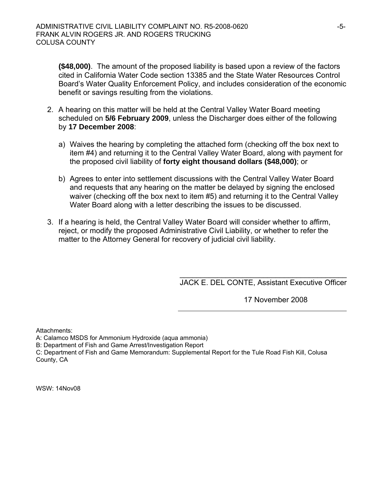**(\$48,000)**. The amount of the proposed liability is based upon a review of the factors cited in California Water Code section 13385 and the State Water Resources Control Board's Water Quality Enforcement Policy, and includes consideration of the economic benefit or savings resulting from the violations.

- 2. A hearing on this matter will be held at the Central Valley Water Board meeting scheduled on **5/6 February 2009**, unless the Discharger does either of the following by **17 December 2008**:
	- a) Waives the hearing by completing the attached form (checking off the box next to item #4) and returning it to the Central Valley Water Board, along with payment for the proposed civil liability of **forty eight thousand dollars (\$48,000)**; or
	- b) Agrees to enter into settlement discussions with the Central Valley Water Board and requests that any hearing on the matter be delayed by signing the enclosed waiver (checking off the box next to item #5) and returning it to the Central Valley Water Board along with a letter describing the issues to be discussed.
- 3. If a hearing is held, the Central Valley Water Board will consider whether to affirm, reject, or modify the proposed Administrative Civil Liability, or whether to refer the matter to the Attorney General for recovery of judicial civil liability.

\_\_\_\_\_\_\_\_\_\_\_\_\_\_\_\_\_\_\_\_\_\_\_\_\_\_\_\_\_\_\_\_\_\_\_\_\_\_\_\_ JACK E. DEL CONTE, Assistant Executive Officer

17 November 2008

Attachments:

A: Calamco MSDS for Ammonium Hydroxide (aqua ammonia)

B: Department of Fish and Game Arrest/Investigation Report

C: Department of Fish and Game Memorandum: Supplemental Report for the Tule Road Fish Kill, Colusa County, CA

WSW: 14Nov08